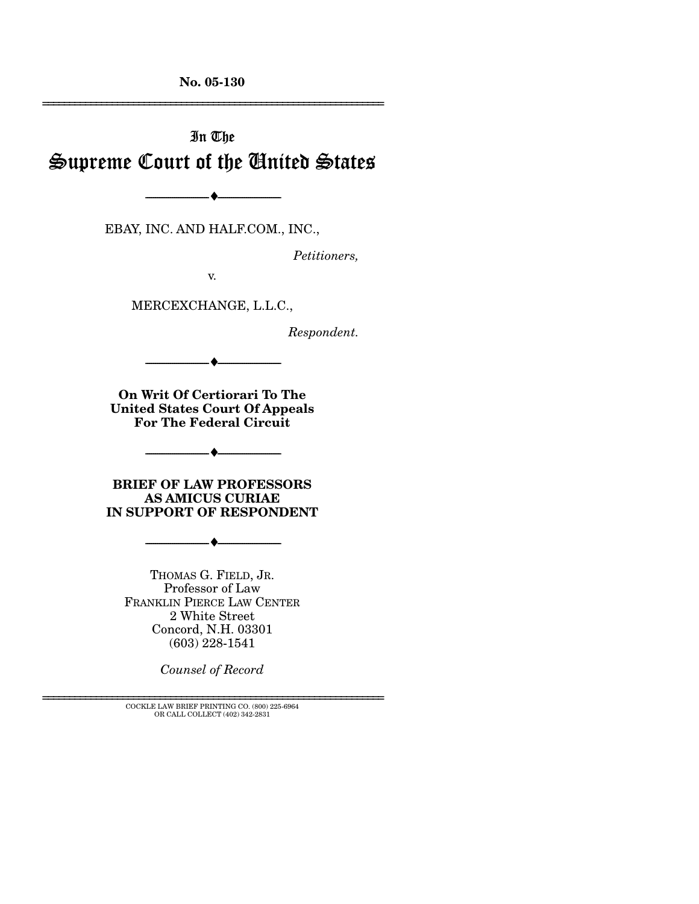**No. 05-130**  ================================================================

# In The Supreme Court of the United States

EBAY, INC. AND HALF.COM., INC.,

--------------------------------- ♦ ---------------------------------

*Petitioners,* 

v.

MERCEXCHANGE, L.L.C.,

*Respondent.* 

**On Writ Of Certiorari To The United States Court Of Appeals For The Federal Circuit** 

--------------------------------- ♦ ---------------------------------

**BRIEF OF LAW PROFESSORS AS AMICUS CURIAE IN SUPPORT OF RESPONDENT** 

 $- \bullet -$ 

--------------------------------- ♦ ---------------------------------

THOMAS G. FIELD, JR. Professor of Law FRANKLIN PIERCE LAW CENTER 2 White Street Concord, N.H. 03301 (603) 228-1541

*Counsel of Record* 

================================================================ COCKLE LAW BRIEF PRINTING CO. (800) 225-6964 OR CALL COLLECT (402) 342-2831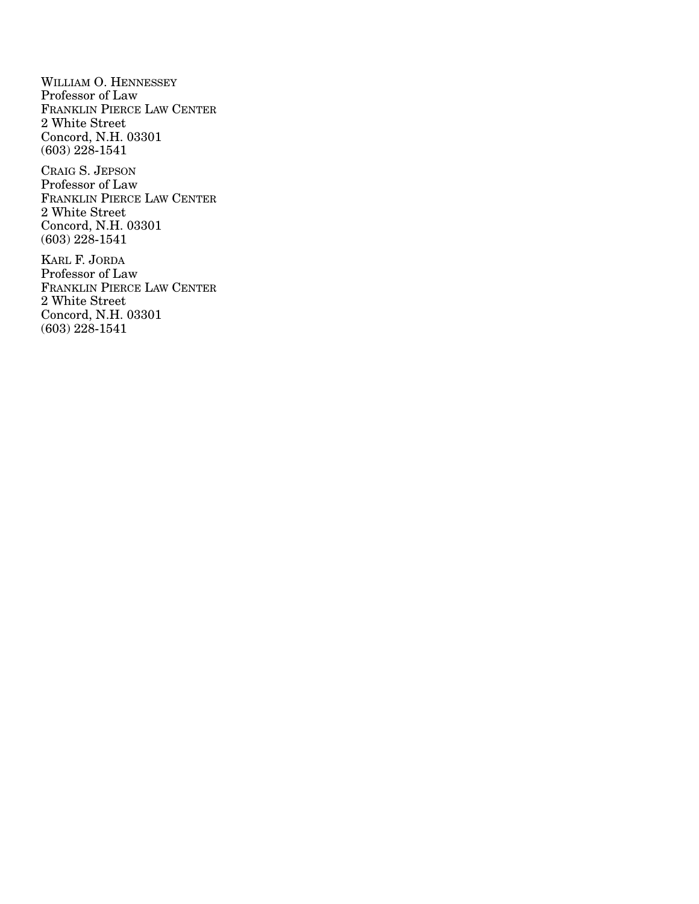WILLIAM O. HENNESSEY Professor of Law FRANKLIN PIERCE LAW CENTER 2 White Street Concord, N.H. 03301 (603) 228-1541

CRAIG S. JEPSON Professor of Law FRANKLIN PIERCE LAW CENTER 2 White Street Concord, N.H. 03301 (603) 228-1541

KARL F. JORDA Professor of Law FRANKLIN PIERCE LAW CENTER 2 White Street Concord, N.H. 03301 (603) 228-1541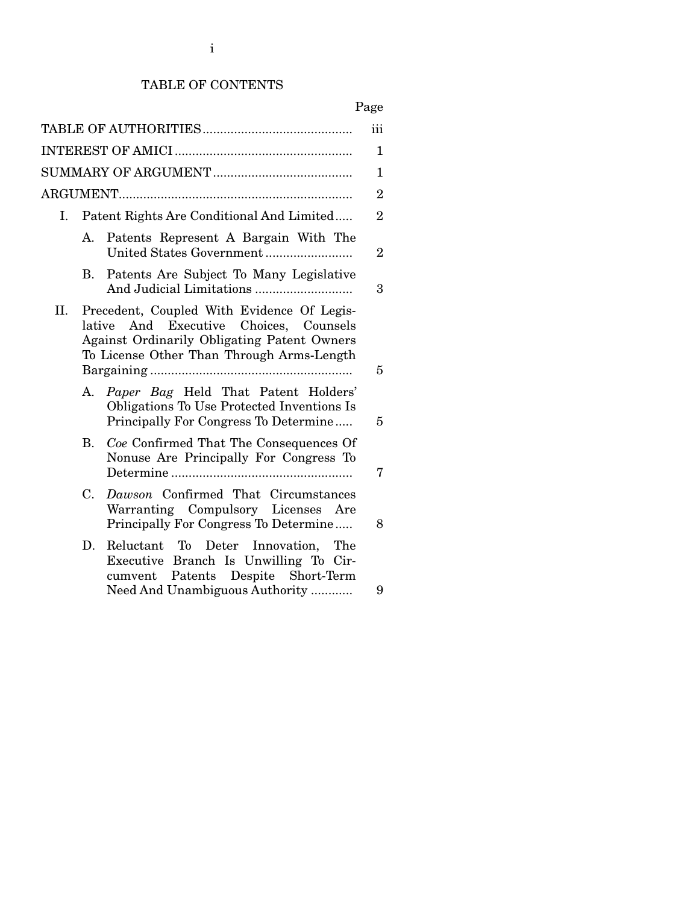# TABLE OF CONTENTS

# Page

| 1<br>$\mathbf{1}$<br>$\overline{2}$<br>$\overline{2}$<br>$\overline{2}$<br>3 |
|------------------------------------------------------------------------------|
|                                                                              |
|                                                                              |
|                                                                              |
|                                                                              |
|                                                                              |
|                                                                              |
| 5                                                                            |
| 5                                                                            |
| 7                                                                            |
| 8                                                                            |
| 9                                                                            |
|                                                                              |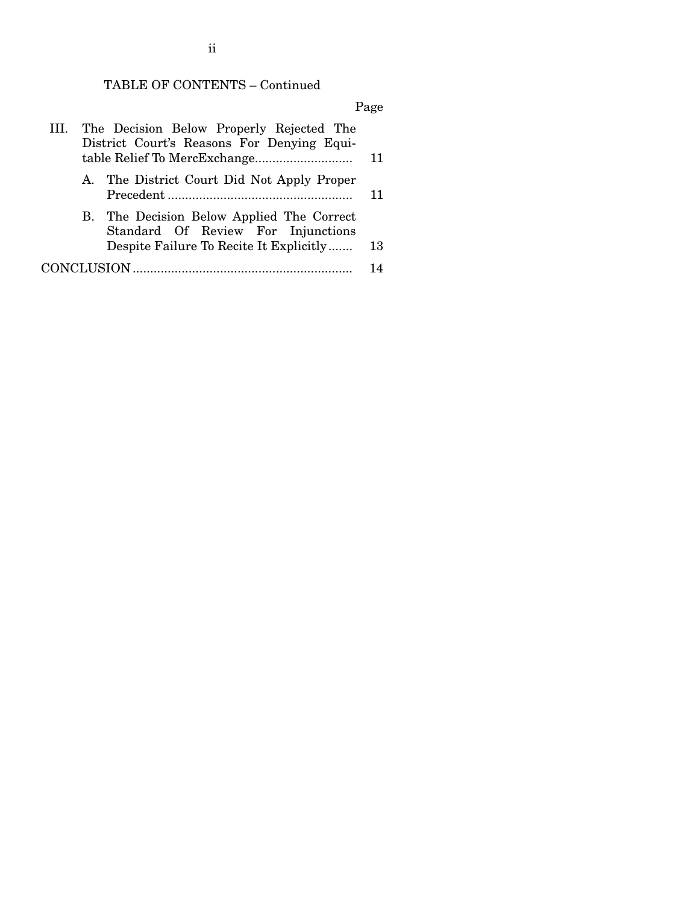# TABLE OF CONTENTS – Continued

# Page

|  | III. The Decision Below Properly Rejected The<br>District Court's Reasons For Denying Equi- |    |
|--|---------------------------------------------------------------------------------------------|----|
|  |                                                                                             | 11 |
|  | A. The District Court Did Not Apply Proper                                                  |    |
|  |                                                                                             | 11 |
|  | B. The Decision Below Applied The Correct<br>Standard Of Review For Injunctions             |    |
|  | Despite Failure To Recite It Explicitly                                                     | 13 |
|  |                                                                                             | 14 |

# ii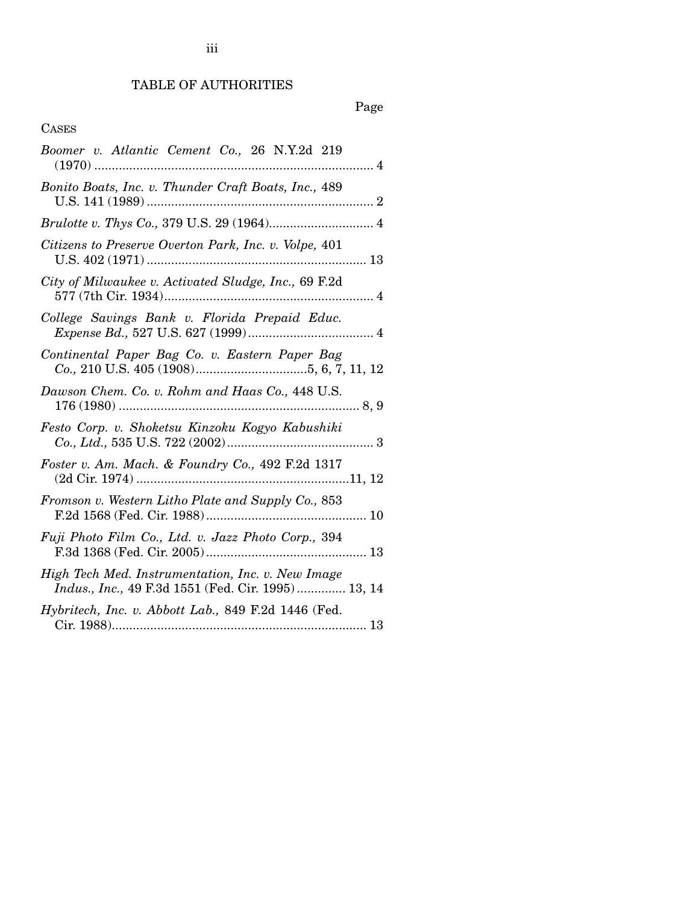# TABLE OF AUTHORITIES

# Page

## CASES

| Boomer v. Atlantic Cement Co., 26 N.Y.2d 219<br>. 4<br>$(1970)$                                                                                                                 |  |
|---------------------------------------------------------------------------------------------------------------------------------------------------------------------------------|--|
| Bonito Boats, Inc. v. Thunder Craft Boats, Inc., 489                                                                                                                            |  |
| $\label{thm:2} Brulotte \; v. \; \emph{Thys Co.}, \; 379 \; U.S. \; 29 \; (1964) \dots \dots \dots \dots \dots \dots \dots \dots \, 4$                                          |  |
| Citizens to Preserve Overton Park, Inc. v. Volpe, 401                                                                                                                           |  |
| City of Milwaukee v. Activated Sludge, Inc., 69 F.2d                                                                                                                            |  |
| College Savings Bank v. Florida Prepaid Educ.<br>$\emph{Expense Bd.},\, 527\; \emph{U.S.}\; 627\; (1999) \dots \dots \dots \dots \dots \dots \dots \dots \dots \dots \dots \,4$ |  |
| Continental Paper Bag Co. v. Eastern Paper Bag                                                                                                                                  |  |
| Dawson Chem. Co. v. Rohm and Haas Co., 448 U.S.                                                                                                                                 |  |
| Festo Corp. v. Shoketsu Kinzoku Kogyo Kabushiki                                                                                                                                 |  |
| Foster v. Am. Mach. & Foundry Co., 492 F.2d 1317                                                                                                                                |  |
| Fromson v. Western Litho Plate and Supply Co., 853                                                                                                                              |  |
| Fuji Photo Film Co., Ltd. v. Jazz Photo Corp., 394                                                                                                                              |  |
| High Tech Med. Instrumentation, Inc. v. New Image<br>Indus., Inc., 49 F.3d 1551 (Fed. Cir. 1995) 13, 14                                                                         |  |
| Hybritech, Inc. v. Abbott Lab., 849 F.2d 1446 (Fed.                                                                                                                             |  |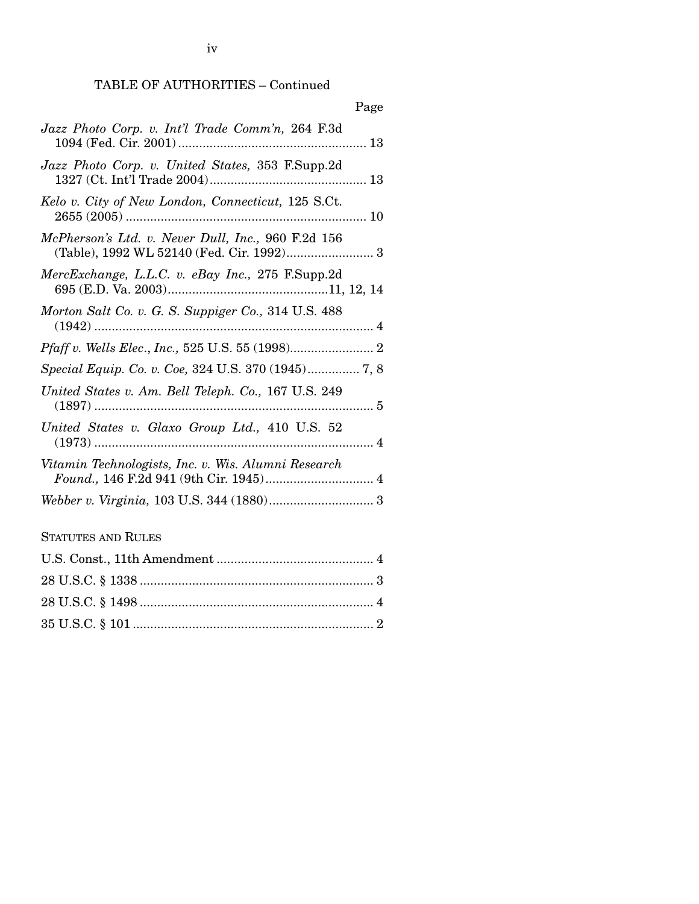iv

# TABLE OF AUTHORITIES – Continued

|                                                                                                 | Page |
|-------------------------------------------------------------------------------------------------|------|
| Jazz Photo Corp. v. Int'l Trade Comm'n, 264 F.3d                                                |      |
| Jazz Photo Corp. v. United States, 353 F.Supp.2d                                                |      |
| Kelo v. City of New London, Connecticut, 125 S.Ct.                                              |      |
| McPherson's Ltd. v. Never Dull, Inc., 960 F.2d 156<br>(Table), 1992 WL 52140 (Fed. Cir. 1992) 3 |      |
| MercExchange, L.L.C. v. eBay Inc., 275 F.Supp.2d                                                |      |
| Morton Salt Co. v. G. S. Suppiger Co., 314 U.S. 488                                             |      |
|                                                                                                 |      |
|                                                                                                 |      |
| United States v. Am. Bell Teleph. Co., 167 U.S. 249                                             |      |
| United States v. Glaxo Group Ltd., 410 U.S. 52                                                  |      |
| Vitamin Technologists, Inc. v. Wis. Alumni Research<br>Found., 146 F.2d 941 (9th Cir. 1945) 4   |      |
|                                                                                                 |      |
| <b>STATUTES AND RULES</b>                                                                       |      |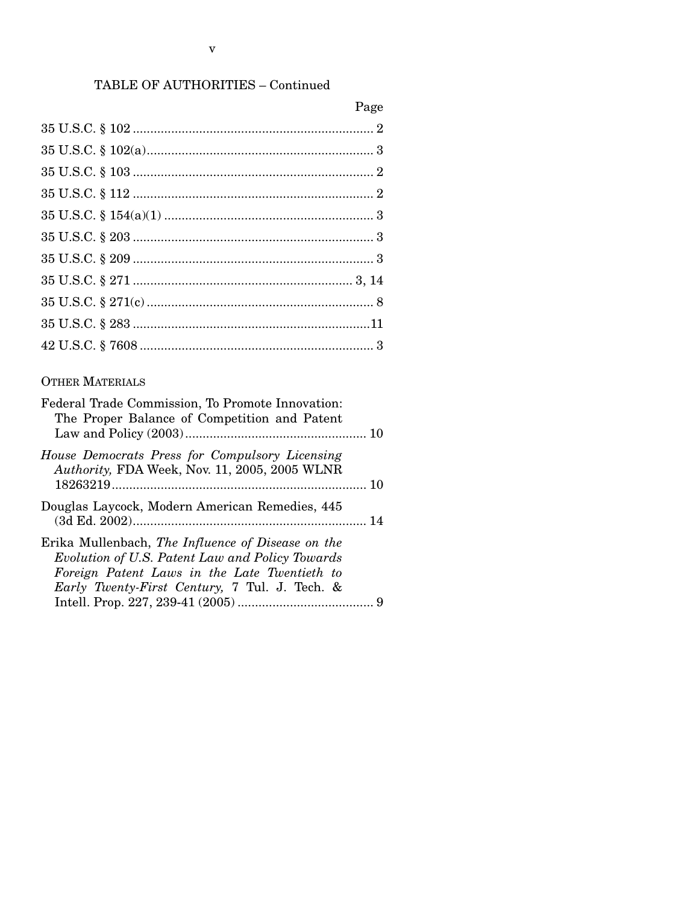# TABLE OF AUTHORITIES – Continued

| Page |
|------|
|      |
|      |
|      |
|      |
|      |
|      |
|      |
|      |
|      |
|      |
|      |

# OTHER MATERIALS

| Federal Trade Commission, To Promote Innovation:<br>The Proper Balance of Competition and Patent                                                                                                              |  |
|---------------------------------------------------------------------------------------------------------------------------------------------------------------------------------------------------------------|--|
| House Democrats Press for Compulsory Licensing<br>Authority, FDA Week, Nov. 11, 2005, 2005 WLNR                                                                                                               |  |
| Douglas Laycock, Modern American Remedies, 445                                                                                                                                                                |  |
| Erika Mullenbach, The Influence of Disease on the<br>Evolution of U.S. Patent Law and Policy Towards<br>Foreign Patent Laws in the Late Twentieth to<br><i>Early Twenty-First Century</i> , 7 Tul. J. Tech. & |  |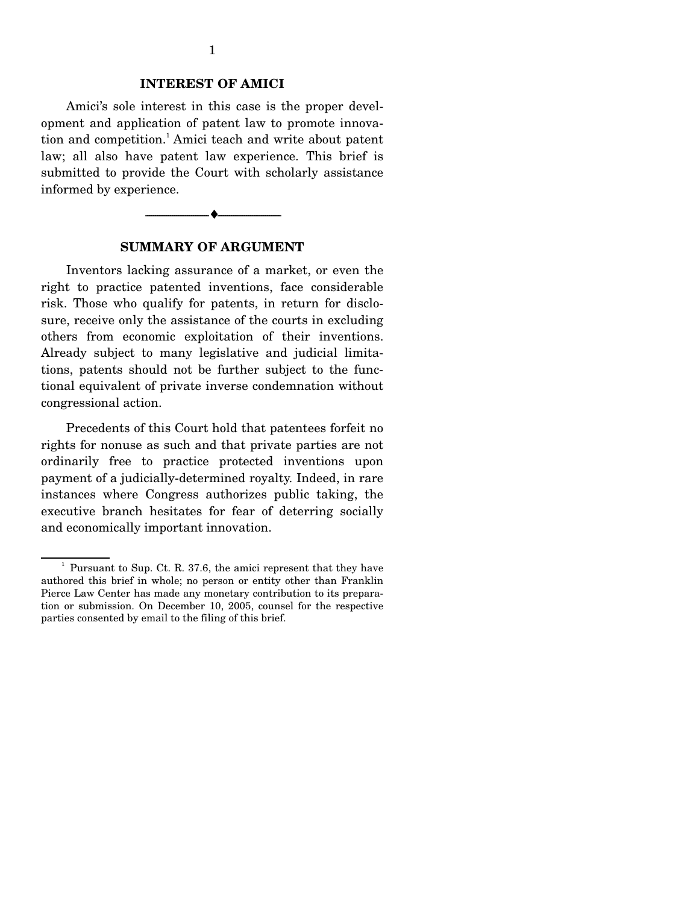### **INTEREST OF AMICI**

 Amici's sole interest in this case is the proper development and application of patent law to promote innovation and competition.<sup>1</sup> Amici teach and write about patent law; all also have patent law experience. This brief is submitted to provide the Court with scholarly assistance informed by experience.



#### **SUMMARY OF ARGUMENT**

 Inventors lacking assurance of a market, or even the right to practice patented inventions, face considerable risk. Those who qualify for patents, in return for disclosure, receive only the assistance of the courts in excluding others from economic exploitation of their inventions. Already subject to many legislative and judicial limitations, patents should not be further subject to the functional equivalent of private inverse condemnation without congressional action.

 Precedents of this Court hold that patentees forfeit no rights for nonuse as such and that private parties are not ordinarily free to practice protected inventions upon payment of a judicially-determined royalty. Indeed, in rare instances where Congress authorizes public taking, the executive branch hesitates for fear of deterring socially and economically important innovation.

 $\frac{1}{2}$  Pursuant to Sup. Ct. R. 37.6, the amici represent that they have authored this brief in whole; no person or entity other than Franklin Pierce Law Center has made any monetary contribution to its preparation or submission. On December 10, 2005, counsel for the respective parties consented by email to the filing of this brief.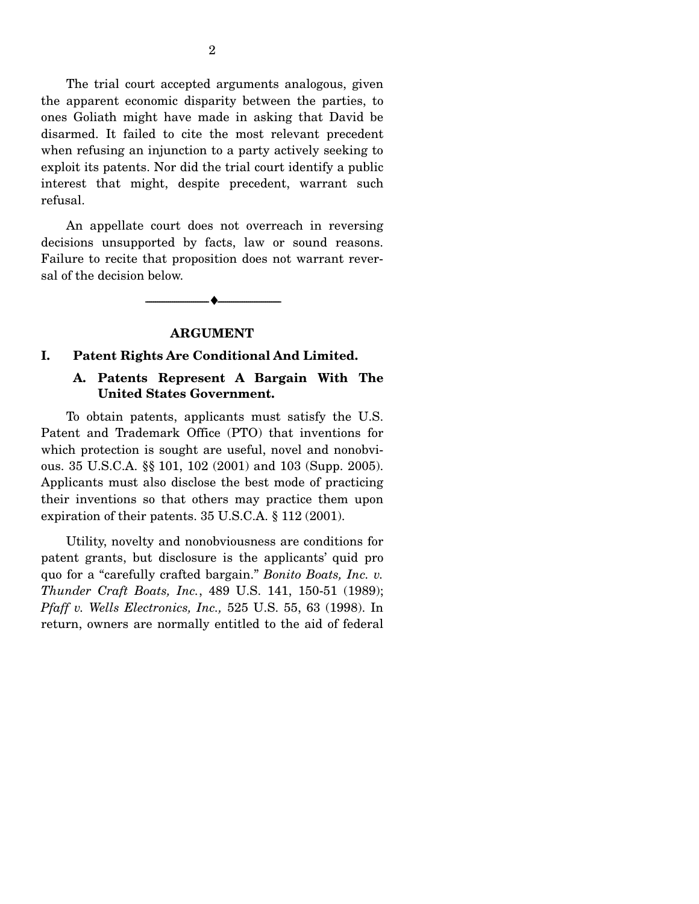The trial court accepted arguments analogous, given the apparent economic disparity between the parties, to ones Goliath might have made in asking that David be disarmed. It failed to cite the most relevant precedent when refusing an injunction to a party actively seeking to exploit its patents. Nor did the trial court identify a public interest that might, despite precedent, warrant such refusal.

 An appellate court does not overreach in reversing decisions unsupported by facts, law or sound reasons. Failure to recite that proposition does not warrant reversal of the decision below.

#### **ARGUMENT**

--------------------------------- ♦ ---------------------------------

#### **I. Patent Rights Are Conditional And Limited.**

### **A. Patents Represent A Bargain With The United States Government.**

To obtain patents, applicants must satisfy the U.S. Patent and Trademark Office (PTO) that inventions for which protection is sought are useful, novel and nonobvious. 35 U.S.C.A. §§ 101, 102 (2001) and 103 (Supp. 2005). Applicants must also disclose the best mode of practicing their inventions so that others may practice them upon expiration of their patents. 35 U.S.C.A. § 112 (2001).

 Utility, novelty and nonobviousness are conditions for patent grants, but disclosure is the applicants' quid pro quo for a "carefully crafted bargain." *Bonito Boats, Inc. v. Thunder Craft Boats, Inc.*, 489 U.S. 141, 150-51 (1989); *Pfaff v. Wells Electronics, Inc.,* 525 U.S. 55, 63 (1998). In return, owners are normally entitled to the aid of federal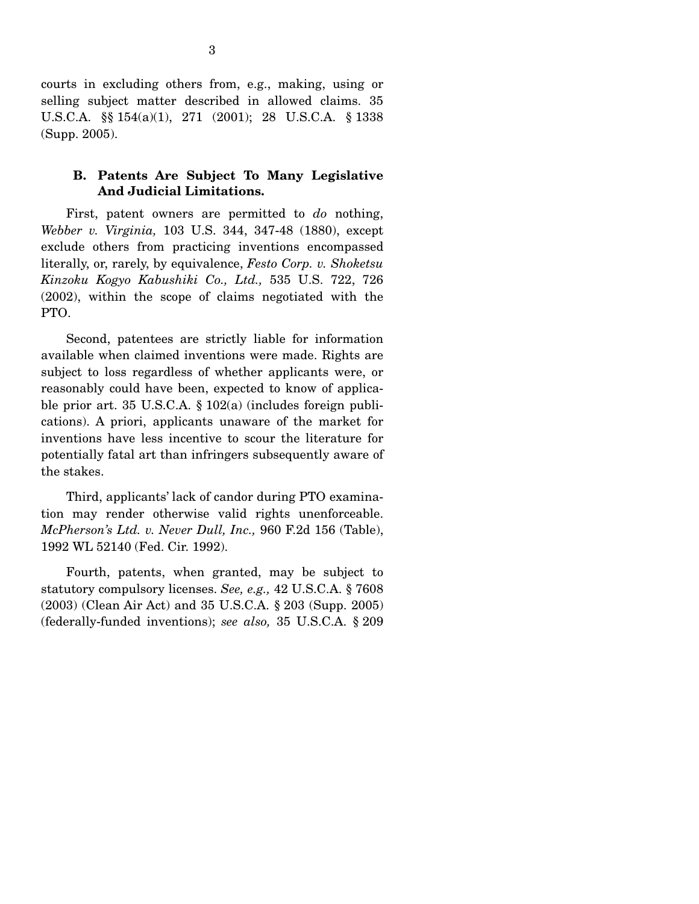courts in excluding others from, e.g., making, using or selling subject matter described in allowed claims. 35 U.S.C.A. §§ 154(a)(1), 271 (2001); 28 U.S.C.A. § 1338 (Supp. 2005).

### **B. Patents Are Subject To Many Legislative And Judicial Limitations.**

First, patent owners are permitted to *do* nothing, *Webber v. Virginia,* 103 U.S. 344, 347-48 (1880), except exclude others from practicing inventions encompassed literally, or, rarely, by equivalence, *Festo Corp. v. Shoketsu Kinzoku Kogyo Kabushiki Co., Ltd.,* 535 U.S. 722, 726 (2002), within the scope of claims negotiated with the PTO.

 Second, patentees are strictly liable for information available when claimed inventions were made. Rights are subject to loss regardless of whether applicants were, or reasonably could have been, expected to know of applicable prior art. 35 U.S.C.A. § 102(a) (includes foreign publications). A priori, applicants unaware of the market for inventions have less incentive to scour the literature for potentially fatal art than infringers subsequently aware of the stakes.

 Third, applicants' lack of candor during PTO examination may render otherwise valid rights unenforceable. *McPherson's Ltd. v. Never Dull, Inc.,* 960 F.2d 156 (Table), 1992 WL 52140 (Fed. Cir. 1992).

 Fourth, patents, when granted, may be subject to statutory compulsory licenses. *See, e.g.,* 42 U.S.C.A. § 7608 (2003) (Clean Air Act) and 35 U.S.C.A. § 203 (Supp. 2005) (federally-funded inventions); *see also,* 35 U.S.C.A. § 209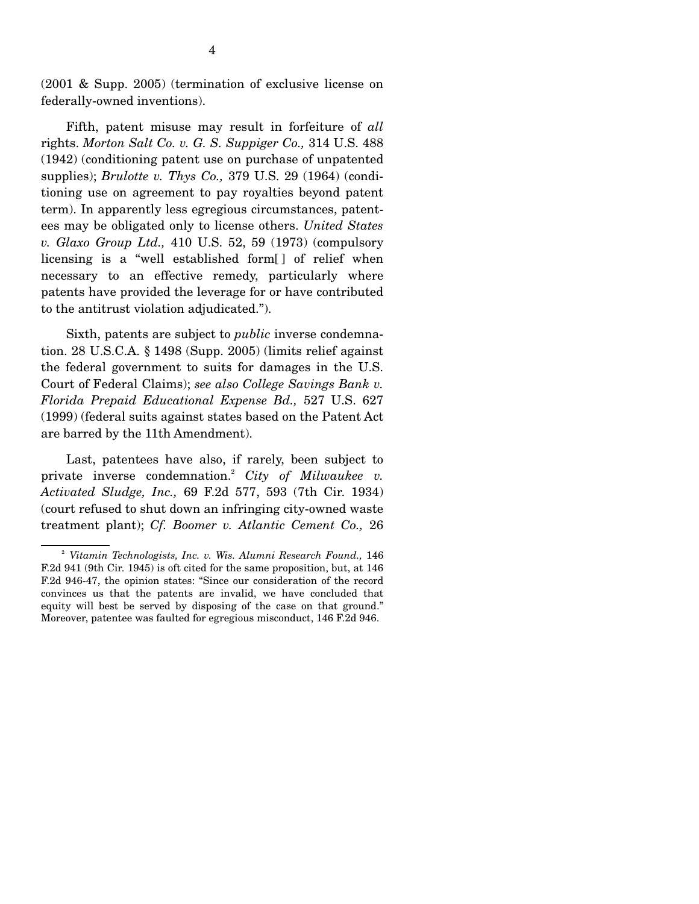(2001 & Supp. 2005) (termination of exclusive license on federally-owned inventions).

 Fifth, patent misuse may result in forfeiture of *all* rights. *Morton Salt Co. v. G. S. Suppiger Co.,* 314 U.S. 488 (1942) (conditioning patent use on purchase of unpatented supplies); *Brulotte v. Thys Co.,* 379 U.S. 29 (1964) (conditioning use on agreement to pay royalties beyond patent term). In apparently less egregious circumstances, patentees may be obligated only to license others. *United States v. Glaxo Group Ltd.,* 410 U.S. 52, 59 (1973) (compulsory licensing is a "well established form[ ] of relief when necessary to an effective remedy, particularly where patents have provided the leverage for or have contributed to the antitrust violation adjudicated.").

 Sixth, patents are subject to *public* inverse condemnation. 28 U.S.C.A. § 1498 (Supp. 2005) (limits relief against the federal government to suits for damages in the U.S. Court of Federal Claims); *see also College Savings Bank v. Florida Prepaid Educational Expense Bd.,* 527 U.S. 627 (1999) (federal suits against states based on the Patent Act are barred by the 11th Amendment).

 Last, patentees have also, if rarely, been subject to private inverse condemnation.2 *City of Milwaukee v. Activated Sludge, Inc.,* 69 F.2d 577, 593 (7th Cir. 1934) (court refused to shut down an infringing city-owned waste treatment plant); *Cf. Boomer v. Atlantic Cement Co.,* 26

<sup>&</sup>lt;sup>2</sup> Vitamin Technologists, Inc. v. Wis. Alumni Research Found., 146 F.2d 941 (9th Cir. 1945) is oft cited for the same proposition, but, at 146 F.2d 946-47, the opinion states: "Since our consideration of the record convinces us that the patents are invalid, we have concluded that equity will best be served by disposing of the case on that ground." Moreover, patentee was faulted for egregious misconduct, 146 F.2d 946.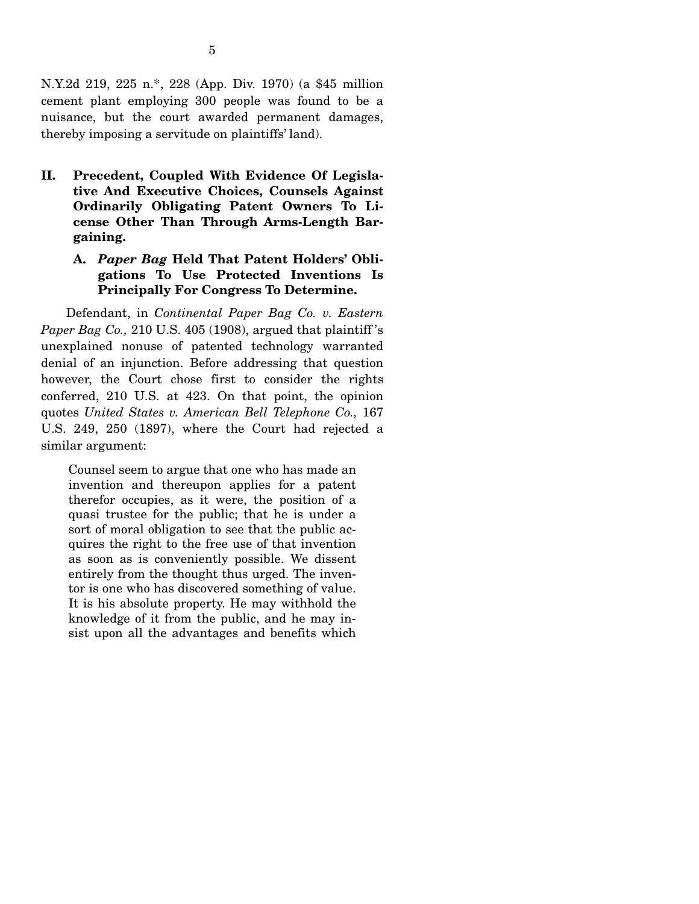N.Y.2d 219, 225 n.\*, 228 (App. Div. 1970) (a \$45 million cement plant employing 300 people was found to be a nuisance, but the court awarded permanent damages, thereby imposing a servitude on plaintiffs' land).

**II. Precedent, Coupled With Evidence Of Legislative And Executive Choices, Counsels Against Ordinarily Obligating Patent Owners To License Other Than Through Arms-Length Bargaining.** 

### **A.** *Paper Bag* **Held That Patent Holders' Obligations To Use Protected Inventions Is Principally For Congress To Determine.**

Defendant, in *Continental Paper Bag Co. v. Eastern Paper Bag Co.,* 210 U.S. 405 (1908), argued that plaintiff 's unexplained nonuse of patented technology warranted denial of an injunction. Before addressing that question however, the Court chose first to consider the rights conferred, 210 U.S. at 423. On that point, the opinion quotes *United States v. American Bell Telephone Co.,* 167 U.S. 249, 250 (1897), where the Court had rejected a similar argument:

Counsel seem to argue that one who has made an invention and thereupon applies for a patent therefor occupies, as it were, the position of a quasi trustee for the public; that he is under a sort of moral obligation to see that the public acquires the right to the free use of that invention as soon as is conveniently possible. We dissent entirely from the thought thus urged. The inventor is one who has discovered something of value. It is his absolute property. He may withhold the knowledge of it from the public, and he may insist upon all the advantages and benefits which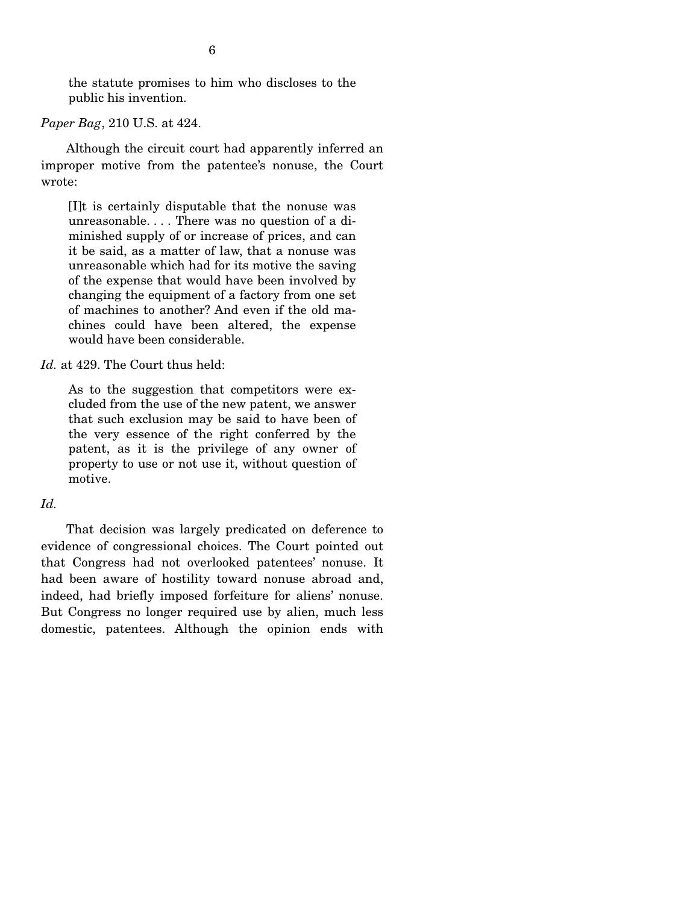the statute promises to him who discloses to the public his invention.

*Paper Bag*, 210 U.S. at 424.

 Although the circuit court had apparently inferred an improper motive from the patentee's nonuse, the Court wrote:

[I]t is certainly disputable that the nonuse was unreasonable. . . . There was no question of a diminished supply of or increase of prices, and can it be said, as a matter of law, that a nonuse was unreasonable which had for its motive the saving of the expense that would have been involved by changing the equipment of a factory from one set of machines to another? And even if the old machines could have been altered, the expense would have been considerable.

*Id.* at 429. The Court thus held:

As to the suggestion that competitors were excluded from the use of the new patent, we answer that such exclusion may be said to have been of the very essence of the right conferred by the patent, as it is the privilege of any owner of property to use or not use it, without question of motive.

### *Id.*

 That decision was largely predicated on deference to evidence of congressional choices. The Court pointed out that Congress had not overlooked patentees' nonuse. It had been aware of hostility toward nonuse abroad and, indeed, had briefly imposed forfeiture for aliens' nonuse. But Congress no longer required use by alien, much less domestic, patentees. Although the opinion ends with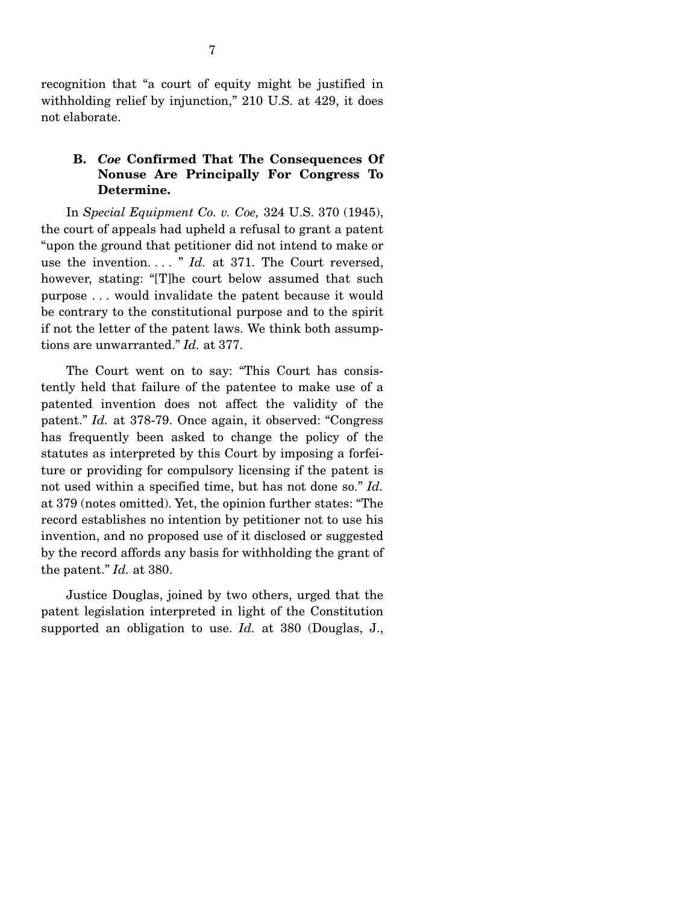recognition that "a court of equity might be justified in withholding relief by injunction," 210 U.S. at 429, it does not elaborate.

### **B.** *Coe* **Confirmed That The Consequences Of Nonuse Are Principally For Congress To Determine.**

In *Special Equipment Co. v. Coe,* 324 U.S. 370 (1945), the court of appeals had upheld a refusal to grant a patent "upon the ground that petitioner did not intend to make or use the invention. . . . " *Id.* at 371. The Court reversed, however, stating: "[T]he court below assumed that such purpose . . . would invalidate the patent because it would be contrary to the constitutional purpose and to the spirit if not the letter of the patent laws. We think both assumptions are unwarranted." *Id.* at 377.

 The Court went on to say: "This Court has consistently held that failure of the patentee to make use of a patented invention does not affect the validity of the patent." *Id.* at 378-79. Once again, it observed: "Congress has frequently been asked to change the policy of the statutes as interpreted by this Court by imposing a forfeiture or providing for compulsory licensing if the patent is not used within a specified time, but has not done so." *Id.* at 379 (notes omitted). Yet, the opinion further states: "The record establishes no intention by petitioner not to use his invention, and no proposed use of it disclosed or suggested by the record affords any basis for withholding the grant of the patent." *Id.* at 380.

 Justice Douglas, joined by two others, urged that the patent legislation interpreted in light of the Constitution supported an obligation to use. *Id.* at 380 (Douglas, J.,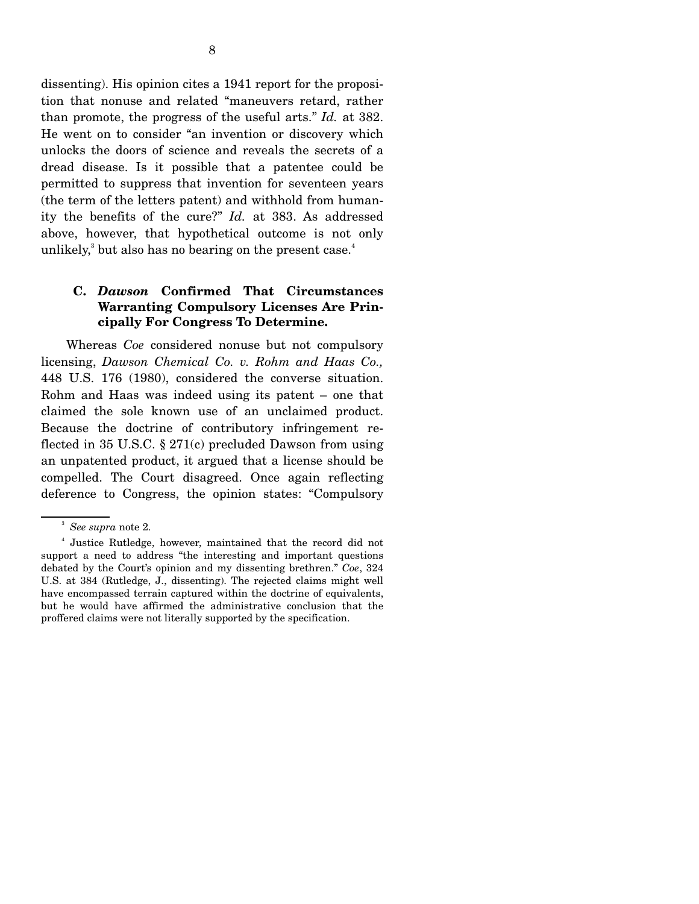dissenting). His opinion cites a 1941 report for the proposition that nonuse and related "maneuvers retard, rather than promote, the progress of the useful arts." *Id.* at 382. He went on to consider "an invention or discovery which unlocks the doors of science and reveals the secrets of a dread disease. Is it possible that a patentee could be permitted to suppress that invention for seventeen years (the term of the letters patent) and withhold from humanity the benefits of the cure?" *Id.* at 383. As addressed above, however, that hypothetical outcome is not only unlikely, $3$  but also has no bearing on the present case.<sup>4</sup>

### **C.** *Dawson* **Confirmed That Circumstances Warranting Compulsory Licenses Are Principally For Congress To Determine.**

Whereas *Coe* considered nonuse but not compulsory licensing, *Dawson Chemical Co. v. Rohm and Haas Co.,* 448 U.S. 176 (1980), considered the converse situation. Rohm and Haas was indeed using its patent – one that claimed the sole known use of an unclaimed product. Because the doctrine of contributory infringement reflected in 35 U.S.C. § 271(c) precluded Dawson from using an unpatented product, it argued that a license should be compelled. The Court disagreed. Once again reflecting deference to Congress, the opinion states: "Compulsory

<sup>3</sup> *See supra* note 2.

<sup>4</sup> Justice Rutledge, however, maintained that the record did not support a need to address "the interesting and important questions debated by the Court's opinion and my dissenting brethren." *Coe*, 324 U.S. at 384 (Rutledge, J., dissenting). The rejected claims might well have encompassed terrain captured within the doctrine of equivalents, but he would have affirmed the administrative conclusion that the proffered claims were not literally supported by the specification.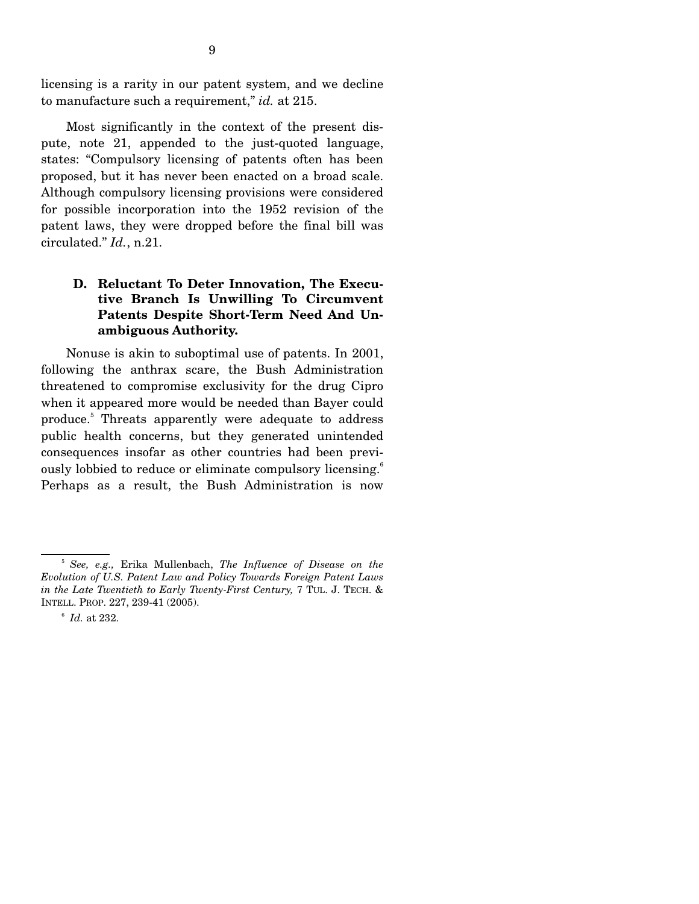licensing is a rarity in our patent system, and we decline to manufacture such a requirement," *id.* at 215.

 Most significantly in the context of the present dispute, note 21, appended to the just-quoted language, states: "Compulsory licensing of patents often has been proposed, but it has never been enacted on a broad scale. Although compulsory licensing provisions were considered for possible incorporation into the 1952 revision of the patent laws, they were dropped before the final bill was circulated." *Id.*, n.21.

### **D. Reluctant To Deter Innovation, The Executive Branch Is Unwilling To Circumvent Patents Despite Short-Term Need And Unambiguous Authority.**

 Nonuse is akin to suboptimal use of patents. In 2001, following the anthrax scare, the Bush Administration threatened to compromise exclusivity for the drug Cipro when it appeared more would be needed than Bayer could produce.<sup>5</sup> Threats apparently were adequate to address public health concerns, but they generated unintended consequences insofar as other countries had been previously lobbied to reduce or eliminate compulsory licensing.<sup>6</sup> Perhaps as a result, the Bush Administration is now

<sup>5</sup> *See, e.g.,* Erika Mullenbach, *The Influence of Disease on the Evolution of U.S. Patent Law and Policy Towards Foreign Patent Laws in the Late Twentieth to Early Twenty-First Century,* 7 TUL. J. TECH. & INTELL. PROP. 227, 239-41 (2005).

 $6$  *Id.* at 232.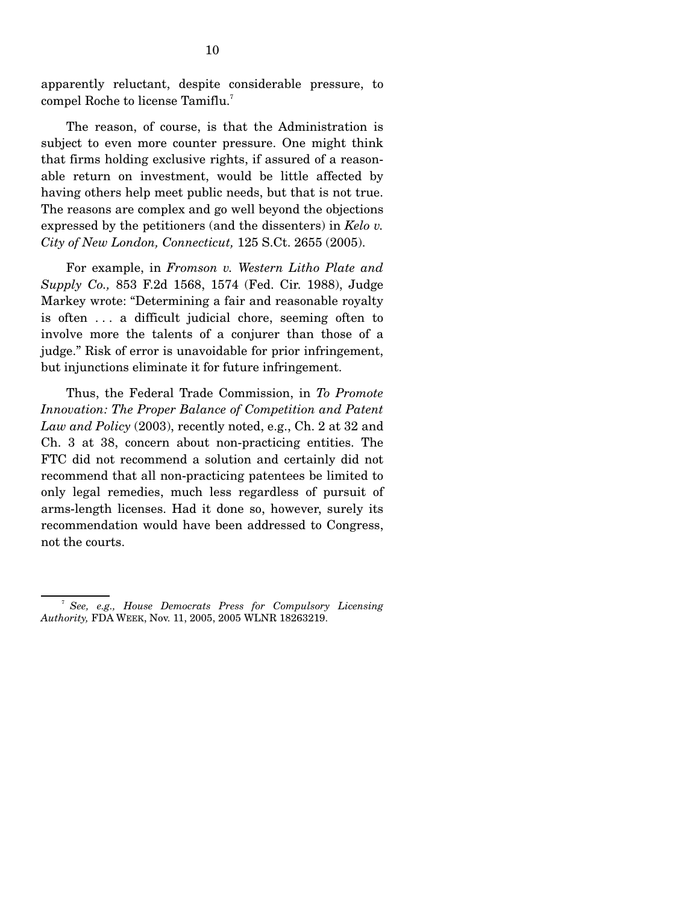apparently reluctant, despite considerable pressure, to compel Roche to license Tamiflu.<sup>7</sup>

 The reason, of course, is that the Administration is subject to even more counter pressure. One might think that firms holding exclusive rights, if assured of a reasonable return on investment, would be little affected by having others help meet public needs, but that is not true. The reasons are complex and go well beyond the objections expressed by the petitioners (and the dissenters) in *Kelo v. City of New London, Connecticut,* 125 S.Ct. 2655 (2005).

 For example, in *Fromson v. Western Litho Plate and Supply Co.,* 853 F.2d 1568, 1574 (Fed. Cir. 1988), Judge Markey wrote: "Determining a fair and reasonable royalty is often . . . a difficult judicial chore, seeming often to involve more the talents of a conjurer than those of a judge." Risk of error is unavoidable for prior infringement, but injunctions eliminate it for future infringement.

 Thus, the Federal Trade Commission, in *To Promote Innovation: The Proper Balance of Competition and Patent Law and Policy* (2003), recently noted, e.g., Ch. 2 at 32 and Ch. 3 at 38, concern about non-practicing entities. The FTC did not recommend a solution and certainly did not recommend that all non-practicing patentees be limited to only legal remedies, much less regardless of pursuit of arms-length licenses. Had it done so, however, surely its recommendation would have been addressed to Congress, not the courts.

<sup>7</sup> *See, e.g., House Democrats Press for Compulsory Licensing Authority,* FDA WEEK, Nov. 11, 2005, 2005 WLNR 18263219.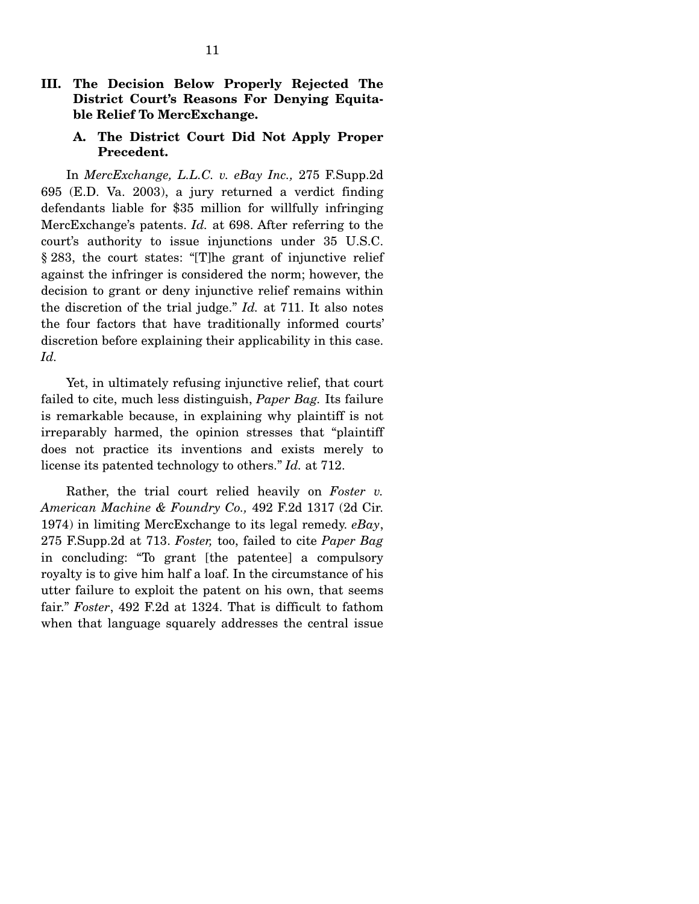### **III. The Decision Below Properly Rejected The District Court's Reasons For Denying Equitable Relief To MercExchange.**

### **A. The District Court Did Not Apply Proper Precedent.**

In *MercExchange, L.L.C. v. eBay Inc.,* 275 F.Supp.2d 695 (E.D. Va. 2003), a jury returned a verdict finding defendants liable for \$35 million for willfully infringing MercExchange's patents. *Id.* at 698. After referring to the court's authority to issue injunctions under 35 U.S.C. § 283, the court states: "[T]he grant of injunctive relief against the infringer is considered the norm; however, the decision to grant or deny injunctive relief remains within the discretion of the trial judge." *Id.* at 711. It also notes the four factors that have traditionally informed courts' discretion before explaining their applicability in this case. *Id.*

 Yet, in ultimately refusing injunctive relief, that court failed to cite, much less distinguish, *Paper Bag.* Its failure is remarkable because, in explaining why plaintiff is not irreparably harmed, the opinion stresses that "plaintiff does not practice its inventions and exists merely to license its patented technology to others." *Id.* at 712.

 Rather, the trial court relied heavily on *Foster v. American Machine & Foundry Co.,* 492 F.2d 1317 (2d Cir. 1974) in limiting MercExchange to its legal remedy. *eBay*, 275 F.Supp.2d at 713. *Foster,* too, failed to cite *Paper Bag* in concluding: "To grant [the patentee] a compulsory royalty is to give him half a loaf. In the circumstance of his utter failure to exploit the patent on his own, that seems fair." *Foster*, 492 F.2d at 1324. That is difficult to fathom when that language squarely addresses the central issue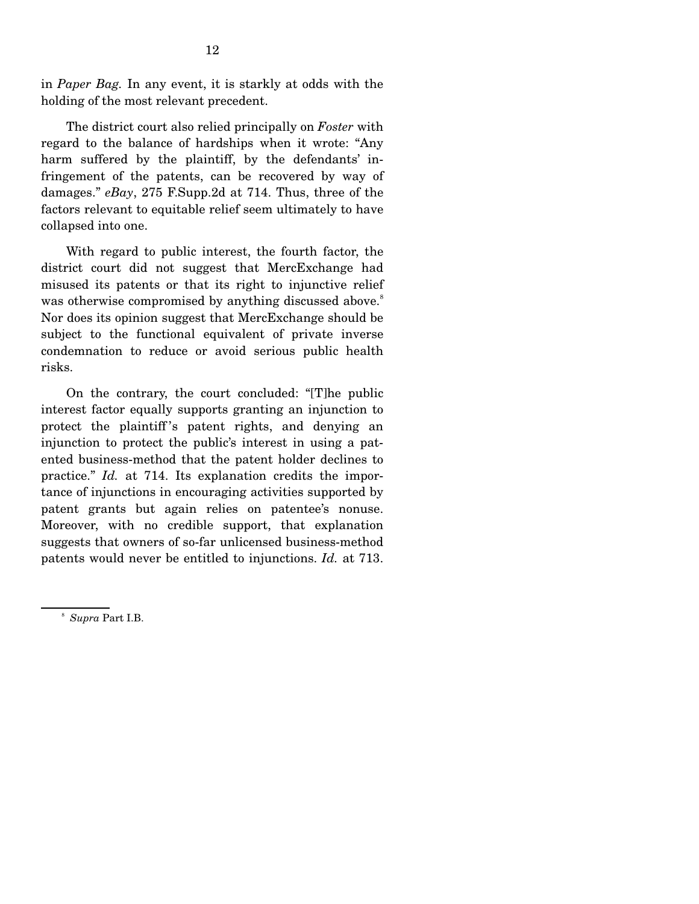in *Paper Bag.* In any event, it is starkly at odds with the holding of the most relevant precedent.

 The district court also relied principally on *Foster* with regard to the balance of hardships when it wrote: "Any harm suffered by the plaintiff, by the defendants' infringement of the patents, can be recovered by way of damages." *eBay*, 275 F.Supp.2d at 714. Thus, three of the factors relevant to equitable relief seem ultimately to have collapsed into one.

 With regard to public interest, the fourth factor, the district court did not suggest that MercExchange had misused its patents or that its right to injunctive relief was otherwise compromised by anything discussed above.<sup>8</sup> Nor does its opinion suggest that MercExchange should be subject to the functional equivalent of private inverse condemnation to reduce or avoid serious public health risks.

 On the contrary, the court concluded: "[T]he public interest factor equally supports granting an injunction to protect the plaintiff 's patent rights, and denying an injunction to protect the public's interest in using a patented business-method that the patent holder declines to practice." *Id.* at 714. Its explanation credits the importance of injunctions in encouraging activities supported by patent grants but again relies on patentee's nonuse. Moreover, with no credible support, that explanation suggests that owners of so-far unlicensed business-method patents would never be entitled to injunctions. *Id.* at 713.

<sup>8</sup> *Supra* Part I.B.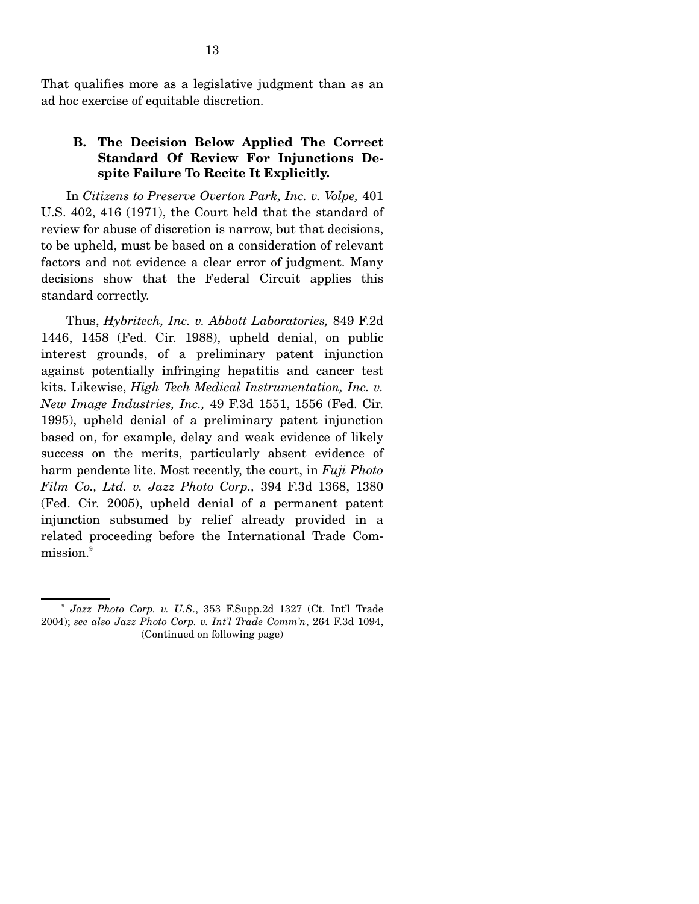That qualifies more as a legislative judgment than as an ad hoc exercise of equitable discretion.

### **B. The Decision Below Applied The Correct Standard Of Review For Injunctions Despite Failure To Recite It Explicitly.**

 In *Citizens to Preserve Overton Park, Inc. v. Volpe,* 401 U.S. 402, 416 (1971), the Court held that the standard of review for abuse of discretion is narrow, but that decisions, to be upheld, must be based on a consideration of relevant factors and not evidence a clear error of judgment. Many decisions show that the Federal Circuit applies this standard correctly.

 Thus, *Hybritech, Inc. v. Abbott Laboratories,* 849 F.2d 1446, 1458 (Fed. Cir. 1988), upheld denial, on public interest grounds, of a preliminary patent injunction against potentially infringing hepatitis and cancer test kits. Likewise, *High Tech Medical Instrumentation, Inc. v. New Image Industries, Inc.,* 49 F.3d 1551, 1556 (Fed. Cir. 1995), upheld denial of a preliminary patent injunction based on, for example, delay and weak evidence of likely success on the merits, particularly absent evidence of harm pendente lite. Most recently, the court, in *Fuji Photo Film Co., Ltd. v. Jazz Photo Corp.,* 394 F.3d 1368, 1380 (Fed. Cir. 2005), upheld denial of a permanent patent injunction subsumed by relief already provided in a related proceeding before the International Trade Commission.<sup>9</sup>

<sup>9</sup> *Jazz Photo Corp. v. U.S*., 353 F.Supp.2d 1327 (Ct. Int'l Trade 2004); *see also Jazz Photo Corp. v. Int'l Trade Comm'n*, 264 F.3d 1094, (Continued on following page)